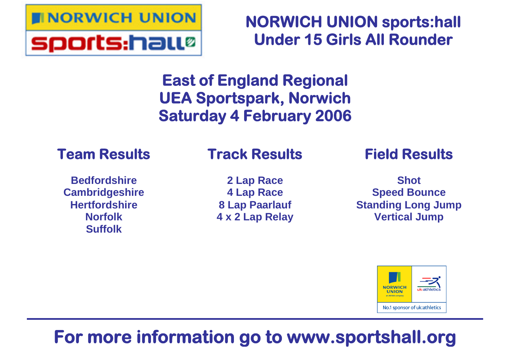

**NORWICH UNION sports:hall Under 15 Girls All Rounder**

# **East of England Regional UEA Sportspark, Norwich Saturday 4 February 2006**

## **Team Results**

## **Track Results**

**Bedfordshire Cambridgeshire Hertfordshire Norfolk Suffolk**

**2 Lap Race 4 Lap Race 8 Lap Paarlauf 4 x 2 Lap Relay** **Field Results**

**Shot Speed Bounce Standing Long Jump Vertical Jump**



# **For more information go to www.sportshall.org**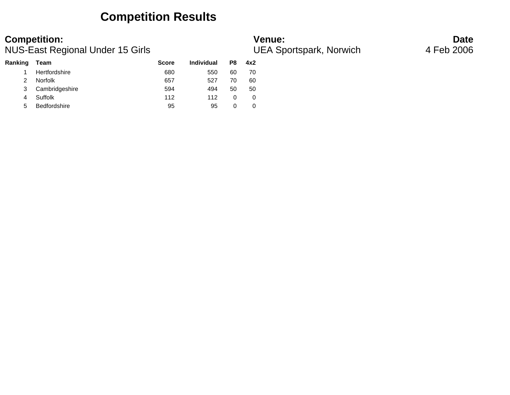## **Competition Results**

NUS-East Regional Under 15 Girls **Numer and Science CEA Sportspark, Norwich** 4 Feb 2006

| Ranking | Team                | <b>Score</b> | <b>Individual</b> | P8 | 4x2 |  |
|---------|---------------------|--------------|-------------------|----|-----|--|
|         | Hertfordshire       | 680          | 550               | 60 | 70  |  |
| 2       | <b>Norfolk</b>      | 657          | 527               | 70 | 60  |  |
| 3       | Cambridgeshire      | 594          | 494               | 50 | 50  |  |
| 4       | Suffolk             | 112          | 112               |    | 0   |  |
| 5       | <b>Bedfordshire</b> | 95           | 95                |    | 0   |  |

**Competition: Venue: Date**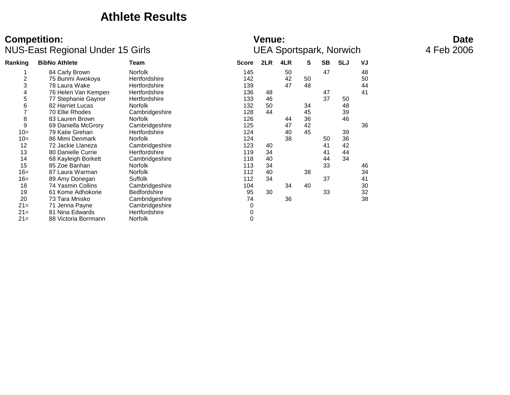## **Athlete Results**

| Ranking | <b>BibNo Athlete</b> | Team                | <b>Score</b> | 2LR | 4LR | S  | SВ | <b>SLJ</b> | VJ |
|---------|----------------------|---------------------|--------------|-----|-----|----|----|------------|----|
|         | 84 Carly Brown       | <b>Norfolk</b>      | 145          |     | 50  |    | 47 |            | 48 |
| 2       | 75 Bunmi Awokoya     | Hertfordshire       | 142          |     | 42  | 50 |    |            | 50 |
| 3       | 78 Laura Wake        | Hertfordshire       | 139          |     | 47  | 48 |    |            | 44 |
| 4       | 76 Helen Van Kempen  | Hertfordshire       | 136          | 48  |     |    | 47 |            | 41 |
| 5       | 77 Stephanie Gaynor  | Hertfordshire       | 133          | 46  |     |    | 37 | 50         |    |
| 6       | 82 Harriet Lucas     | <b>Norfolk</b>      | 132          | 50  |     | 34 |    | 48         |    |
|         | 70 Ellie Rhodes      | Cambridgeshire      | 128          | 44  |     | 45 |    | 39         |    |
| 8       | 83 Lauren Brown      | <b>Norfolk</b>      | 126          |     | 44  | 36 |    | 46         |    |
| 9       | 69 Daniella McGrory  | Cambridgeshire      | 125          |     | 47  | 42 |    |            | 36 |
| $10=$   | 79 Katie Grehan      | Hertfordshire       | 124          |     | 40  | 45 |    | 39         |    |
| $10=$   | 86 Mimi Denmark      | <b>Norfolk</b>      | 124          |     | 38  |    | 50 | 36         |    |
| 12      | 72 Jackie Llaneza    | Cambridgeshire      | 123          | 40  |     |    | 41 | 42         |    |
| 13      | 80 Danielle Currie   | Hertfordshire       | 119          | 34  |     |    | 41 | 44         |    |
| 14      | 68 Kayleigh Borkett  | Cambridgeshire      | 118          | 40  |     |    | 44 | 34         |    |
| 15      | 85 Zoe Banhan        | <b>Norfolk</b>      | 113          | 34  |     |    | 33 |            | 46 |
| $16=$   | 87 Laura Warman      | <b>Norfolk</b>      | 112          | 40  |     | 38 |    |            | 34 |
| $16=$   | 89 Amy Donegan       | <b>Suffolk</b>      | 112          | 34  |     |    | 37 |            | 41 |
| 18      | 74 Yasmin Collins    | Cambridgeshire      | 104          |     | 34  | 40 |    |            | 30 |
| 19      | 61 Kome Adhokorie    | <b>Bedfordshire</b> | 95           | 30  |     |    | 33 |            | 32 |
| 20      | 73 Tara Mnisko       | Cambridgeshire      | 74           |     | 36  |    |    |            | 38 |
| $21 =$  | 71 Jenna Payne       | Cambridgeshire      | 0            |     |     |    |    |            |    |
| $21 =$  | 81 Nina Edwards      | Hertfordshire       | 0            |     |     |    |    |            |    |
| $21 =$  | 88 Victoria Borrmann | <b>Norfolk</b>      | 0            |     |     |    |    |            |    |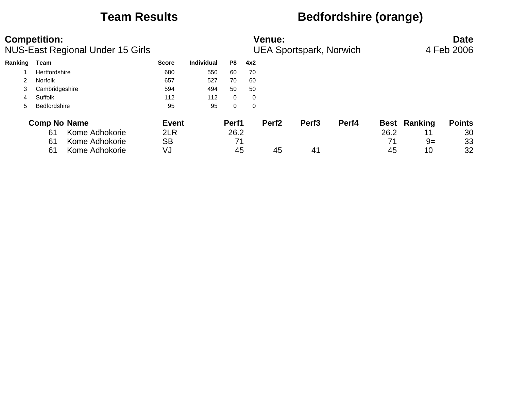## **Team Results Bedfordshire (orange)**

|         | <b>Competition:</b><br>NUS-East Regional Under 15 Girls |              | <b>Venue:</b><br><b>UEA Sportspark, Norwich</b> |              |     |                   |                   |       |      |                     | <b>Date</b><br>4 Feb 2006 |
|---------|---------------------------------------------------------|--------------|-------------------------------------------------|--------------|-----|-------------------|-------------------|-------|------|---------------------|---------------------------|
| Ranking | Team                                                    | <b>Score</b> | Individual                                      | P8           | 4x2 |                   |                   |       |      |                     |                           |
|         | Hertfordshire                                           | 680          | 550                                             | 60           | 70  |                   |                   |       |      |                     |                           |
|         | <b>Norfolk</b>                                          | 657          | 527                                             | 70           | 60  |                   |                   |       |      |                     |                           |
| 3       | Cambridgeshire                                          | 594          | 494                                             | 50           | 50  |                   |                   |       |      |                     |                           |
| 4       | Suffolk                                                 | 112          | 112                                             | $\mathbf 0$  | 0   |                   |                   |       |      |                     |                           |
| 5.      | Bedfordshire                                            | 95           | 95                                              | $\mathbf{0}$ | 0   |                   |                   |       |      |                     |                           |
|         | <b>Comp No Name</b>                                     | <b>Event</b> |                                                 | Perf1        |     | Perf <sub>2</sub> | Perf <sub>3</sub> | Perf4 |      | <b>Best Ranking</b> | <b>Points</b>             |
|         | Kome Adhokorie<br>61                                    | 2LR          |                                                 | 26.2         |     |                   |                   |       | 26.2 | 11                  | 30                        |
|         | Kome Adhokorie<br>61                                    | <b>SB</b>    |                                                 | 71           |     |                   |                   |       | 71   | $9=$                | 33                        |
|         | Kome Adhokorie<br>61                                    | VJ           |                                                 | 45           |     | 45                | 41                |       | 45   | 10                  | 32                        |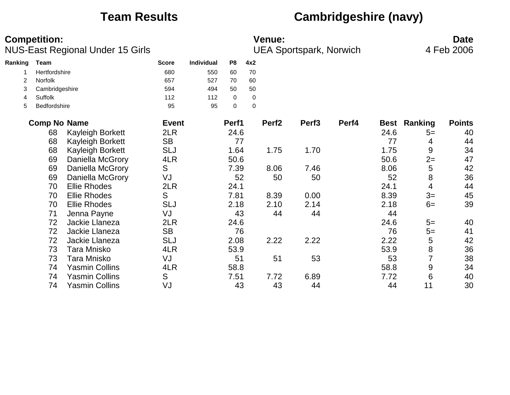Bedfordshire 95 95 0 0

## **Team Results Cambridgeshire (navy)**

**Competition: Date**<br> **NUS-East Regional Under 15 Girls Date**<br> **Date** UEA Sportspark, Norwich 4 Feb 2006 NUS-East Regional Under 15 Girls **UEA Sportspark, Norwich** 4 Feb 2006

| <b>TYOU Last Indy Milar United TO Units</b> |                |              |                   |    |     |  |  |  |
|---------------------------------------------|----------------|--------------|-------------------|----|-----|--|--|--|
| Ranking                                     | Team           | <b>Score</b> | <b>Individual</b> | P8 | 4x2 |  |  |  |
|                                             | Hertfordshire  | 680          | 550               | 60 | 70  |  |  |  |
|                                             | <b>Norfolk</b> | 657          | 527               | 70 | 60  |  |  |  |
|                                             | Cambridgeshire | 594          | 494               | 50 | 50  |  |  |  |
|                                             | Suffolk        | 112          | 112               |    |     |  |  |  |
|                                             |                |              |                   |    |     |  |  |  |

| <b>Comp No Name</b> |                       | <b>Event</b> | Perf1 | Perf <sub>2</sub> | Perf <sub>3</sub> | Perf4 |      | <b>Best Ranking</b> | <b>Points</b> |
|---------------------|-----------------------|--------------|-------|-------------------|-------------------|-------|------|---------------------|---------------|
| 68                  | Kayleigh Borkett      | 2LR          | 24.6  |                   |                   |       | 24.6 | $5=$                | 40            |
| 68                  | Kayleigh Borkett      | <b>SB</b>    | 77    |                   |                   |       | 77   | 4                   | 44            |
| 68                  | Kayleigh Borkett      | <b>SLJ</b>   | 1.64  | 1.75              | 1.70              |       | 1.75 | 9                   | 34            |
| 69                  | Daniella McGrory      | 4LR          | 50.6  |                   |                   |       | 50.6 | $2=$                | 47            |
| 69                  | Daniella McGrory      | S            | 7.39  | 8.06              | 7.46              |       | 8.06 | 5                   | 42            |
| 69                  | Daniella McGrory      | VJ           | 52    | 50                | 50                |       | 52   | 8                   | 36            |
| 70                  | <b>Ellie Rhodes</b>   | 2LR          | 24.1  |                   |                   |       | 24.1 | 4                   | 44            |
| 70                  | <b>Ellie Rhodes</b>   | S            | 7.81  | 8.39              | 0.00              |       | 8.39 | $3=$                | 45            |
| 70                  | <b>Ellie Rhodes</b>   | <b>SLJ</b>   | 2.18  | 2.10              | 2.14              |       | 2.18 | $6=$                | 39            |
| 71                  | Jenna Payne           | VJ           | 43    | 44                | 44                |       | 44   |                     |               |
| 72                  | Jackie Llaneza        | 2LR          | 24.6  |                   |                   |       | 24.6 | $5=$                | 40            |
| 72                  | Jackie Llaneza        | <b>SB</b>    | 76    |                   |                   |       | 76   | $5=$                | 41            |
| 72                  | Jackie Llaneza        | <b>SLJ</b>   | 2.08  | 2.22              | 2.22              |       | 2.22 | 5                   | 42            |
| 73                  | Tara Mnisko           | 4LR          | 53.9  |                   |                   |       | 53.9 | 8                   | 36            |
| 73                  | Tara Mnisko           | VJ           | 51    | 51                | 53                |       | 53   |                     | 38            |
| 74                  | <b>Yasmin Collins</b> | 4LR          | 58.8  |                   |                   |       | 58.8 | 9                   | 34            |
| 74                  | <b>Yasmin Collins</b> | S            | 7.51  | 7.72              | 6.89              |       | 7.72 | 6                   | 40            |
| 74                  | <b>Yasmin Collins</b> | VJ           | 43    | 43                | 44                |       | 44   | 11                  | 30            |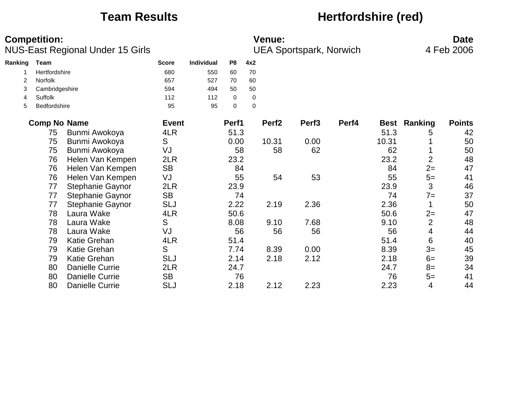## **Team Results Hertfordshire (red)**

|         | <b>Competition:</b> | <b>NUS-East Regional Under 15 Girls</b> |              |            |                |             | <b>Venue:</b>     | <b>UEA Sportspark, Norwich</b> |       |       |                     | <b>Date</b><br>4 Feb 2006 |
|---------|---------------------|-----------------------------------------|--------------|------------|----------------|-------------|-------------------|--------------------------------|-------|-------|---------------------|---------------------------|
| Ranking | <b>Team</b>         |                                         | <b>Score</b> | Individual | P <sub>8</sub> | 4x2         |                   |                                |       |       |                     |                           |
|         | Hertfordshire       |                                         | 680          | 550        | 60             | 70          |                   |                                |       |       |                     |                           |
| 2       | Norfolk             |                                         | 657          | 527        | 70             | 60          |                   |                                |       |       |                     |                           |
| 3       | Cambridgeshire      |                                         | 594          | 494        | 50             | 50          |                   |                                |       |       |                     |                           |
| 4       | Suffolk             |                                         | 112          | 112        | $\mathbf 0$    | $\mathbf 0$ |                   |                                |       |       |                     |                           |
| 5       | Bedfordshire        |                                         | 95           | 95         | $\pmb{0}$      | 0           |                   |                                |       |       |                     |                           |
|         | <b>Comp No Name</b> |                                         | <b>Event</b> |            | Perf1          |             | Perf <sub>2</sub> | Perf <sub>3</sub>              | Perf4 |       | <b>Best Ranking</b> | <b>Points</b>             |
|         | 75                  | Bunmi Awokoya                           | 4LR          |            | 51.3           |             |                   |                                |       | 51.3  | 5                   | 42                        |
|         | 75                  | Bunmi Awokoya                           | S            |            | 0.00           |             | 10.31             | 0.00                           |       | 10.31 |                     | 50                        |
|         | 75                  | Bunmi Awokoya                           | VJ           |            | 58             |             | 58                | 62                             |       | 62    |                     | 50                        |
|         | 76                  | Helen Van Kempen                        | 2LR          |            | 23.2           |             |                   |                                |       | 23.2  | $\overline{2}$      | 48                        |
|         | 76                  | Helen Van Kempen                        | <b>SB</b>    |            | 84             |             |                   |                                |       | 84    | $2 =$               | 47                        |
|         | 76                  | Helen Van Kempen                        | VJ           |            | 55             |             | 54                | 53                             |       | 55    | $5=$                | 41                        |
|         | 77                  | Stephanie Gaynor                        | 2LR          |            | 23.9           |             |                   |                                |       | 23.9  | 3                   | 46                        |
|         | 77                  | Stephanie Gaynor                        | <b>SB</b>    |            | 74             |             |                   |                                |       | 74    | $7 =$               | 37                        |
|         | 77                  | Stephanie Gaynor                        | <b>SLJ</b>   |            | 2.22           |             | 2.19              | 2.36                           |       | 2.36  | 1                   | 50                        |
|         | 78                  | Laura Wake                              | 4LR          |            | 50.6           |             |                   |                                |       | 50.6  | $2=$                | 47                        |
|         | 78                  | Laura Wake                              | S            |            | 8.08           |             | 9.10              | 7.68                           |       | 9.10  | $\overline{2}$      | 48                        |
|         | 78                  | Laura Wake                              | VJ           |            | 56             |             | 56                | 56                             |       | 56    | 4                   | 44                        |
|         | 79                  | <b>Katie Grehan</b>                     | 4LR          |            | 51.4           |             |                   |                                |       | 51.4  | 6                   | 40                        |
|         | 79                  | <b>Katie Grehan</b>                     | S            |            | 7.74           |             | 8.39              | 0.00                           |       | 8.39  | $3=$                | 45                        |
|         | 79                  | Katie Grehan                            | <b>SLJ</b>   |            | 2.14           |             | 2.18              | 2.12                           |       | 2.18  | $6=$                | 39                        |
|         | 80                  | <b>Danielle Currie</b>                  | 2LR          |            | 24.7           |             |                   |                                |       | 24.7  | $8=$                | 34                        |
|         | 80                  | <b>Danielle Currie</b>                  | <b>SB</b>    |            | 76             |             |                   |                                |       | 76    | $5=$                | 41                        |
|         | 80                  | <b>Danielle Currie</b>                  | <b>SLJ</b>   |            | 2.18           |             | 2.12              | 2.23                           |       | 2.23  | 4                   | 44                        |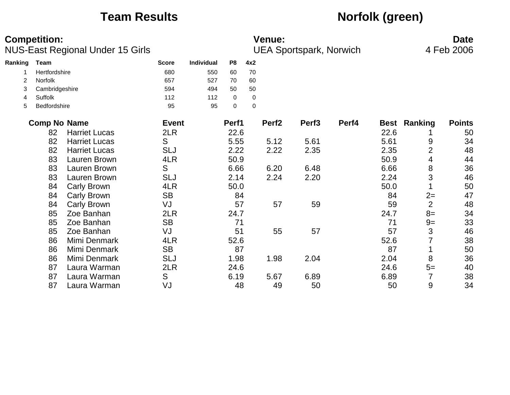## **Team Results Norfolk (green)**

| <b>Competition:</b> |                     |                                  |              | <b>Venue:</b>     |             |     |                   |                                |       |      | <b>Date</b>         |               |  |
|---------------------|---------------------|----------------------------------|--------------|-------------------|-------------|-----|-------------------|--------------------------------|-------|------|---------------------|---------------|--|
|                     |                     | NUS-East Regional Under 15 Girls |              |                   |             |     |                   | <b>UEA Sportspark, Norwich</b> |       |      |                     | 4 Feb 2006    |  |
| Ranking             | <b>Team</b>         |                                  | <b>Score</b> | <b>Individual</b> | P8          | 4x2 |                   |                                |       |      |                     |               |  |
|                     | Hertfordshire       |                                  | 680          | 550               | 60          | 70  |                   |                                |       |      |                     |               |  |
| 2                   | Norfolk             |                                  | 657          | 527               | 70          | 60  |                   |                                |       |      |                     |               |  |
| 3                   | Cambridgeshire      |                                  | 594          | 494               | 50          | 50  |                   |                                |       |      |                     |               |  |
| 4                   | Suffolk             |                                  | 112          | 112               | $\mathbf 0$ | 0   |                   |                                |       |      |                     |               |  |
| 5                   | Bedfordshire        |                                  | 95           | 95                | $\mathbf 0$ | 0   |                   |                                |       |      |                     |               |  |
|                     | <b>Comp No Name</b> |                                  | <b>Event</b> |                   | Perf1       |     | Perf <sub>2</sub> | Perf <sub>3</sub>              | Perf4 |      | <b>Best Ranking</b> | <b>Points</b> |  |
|                     | 82                  | <b>Harriet Lucas</b>             | 2LR          |                   | 22.6        |     |                   |                                |       | 22.6 |                     | 50            |  |
|                     | 82                  | <b>Harriet Lucas</b>             | S            |                   | 5.55        |     | 5.12              | 5.61                           |       | 5.61 | 9                   | 34            |  |
|                     | 82                  | <b>Harriet Lucas</b>             | <b>SLJ</b>   |                   | 2.22        |     | 2.22              | 2.35                           |       | 2.35 | $\overline{2}$      | 48            |  |
|                     | 83                  | Lauren Brown                     | 4LR          |                   | 50.9        |     |                   |                                |       | 50.9 | 4                   | 44            |  |
|                     | 83                  | Lauren Brown                     | S            |                   | 6.66        |     | 6.20              | 6.48                           |       | 6.66 | 8                   | 36            |  |
|                     | 83                  | Lauren Brown                     | <b>SLJ</b>   |                   | 2.14        |     | 2.24              | 2.20                           |       | 2.24 | 3                   | 46            |  |
|                     | 84                  | Carly Brown                      | 4LR          |                   | 50.0        |     |                   |                                |       | 50.0 |                     | 50            |  |
|                     | 84                  | <b>Carly Brown</b>               | <b>SB</b>    |                   | 84          |     |                   |                                |       | 84   | $2=$                | 47            |  |
|                     | 84                  | Carly Brown                      | VJ           |                   | 57          |     | 57                | 59                             |       | 59   | $\overline{2}$      | 48            |  |
|                     | 85                  | Zoe Banhan                       | 2LR          |                   | 24.7        |     |                   |                                |       | 24.7 | $8=$                | 34            |  |
|                     | 85                  | Zoe Banhan                       | <b>SB</b>    |                   | 71          |     |                   |                                |       | 71   | $9=$                | 33            |  |
|                     | 85                  | Zoe Banhan                       | VJ           |                   | 51          |     | 55                | 57                             |       | 57   | 3                   | 46            |  |
|                     | 86                  | Mimi Denmark                     | 4LR          |                   | 52.6        |     |                   |                                |       | 52.6 |                     | 38            |  |
|                     | 86                  | Mimi Denmark                     | <b>SB</b>    |                   | 87          |     |                   |                                |       | 87   |                     | 50            |  |
|                     | 86                  | Mimi Denmark                     | <b>SLJ</b>   |                   | 1.98        |     | 1.98              | 2.04                           |       | 2.04 | 8                   | 36            |  |
|                     | 87                  | Laura Warman                     | 2LR          |                   | 24.6        |     |                   |                                |       | 24.6 | $5=$                | 40            |  |
|                     | 87                  | Laura Warman                     | S            |                   | 6.19        |     | 5.67              | 6.89                           |       | 6.89 | 7                   | 38            |  |
|                     | 87                  | Laura Warman                     | VJ           |                   | 48          |     | 49                | 50                             |       | 50   | 9                   | 34            |  |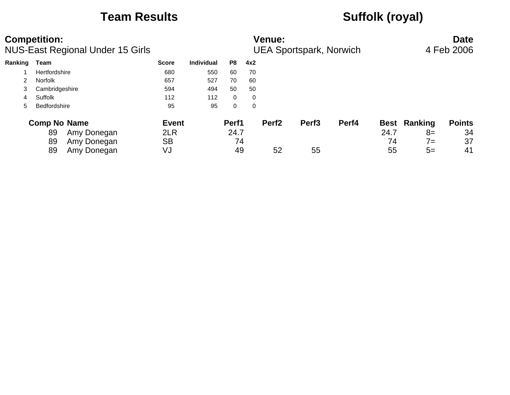## **Team Results Suffolk (royal)**

|         | <b>Competition:</b><br>NUS-East Regional Under 15 Girls |              | <b>Venue:</b><br><b>UEA Sportspark, Norwich</b> |             |     |                   |                   |       |             |         | <b>Date</b><br>4 Feb 2006 |
|---------|---------------------------------------------------------|--------------|-------------------------------------------------|-------------|-----|-------------------|-------------------|-------|-------------|---------|---------------------------|
| Ranking | <b>Team</b>                                             | <b>Score</b> | <b>Individual</b>                               | P8          | 4x2 |                   |                   |       |             |         |                           |
|         | Hertfordshire                                           | 680          | 550                                             | 60          | 70  |                   |                   |       |             |         |                           |
|         | <b>Norfolk</b>                                          | 657          | 527                                             | 70          | 60  |                   |                   |       |             |         |                           |
| 3       | Cambridgeshire                                          | 594          | 494                                             | 50          | 50  |                   |                   |       |             |         |                           |
| 4       | Suffolk                                                 | 112          | 112                                             | 0           | 0   |                   |                   |       |             |         |                           |
| 5.      | Bedfordshire                                            | 95           | 95                                              | $\mathbf 0$ | 0   |                   |                   |       |             |         |                           |
|         | <b>Comp No Name</b>                                     | <b>Event</b> |                                                 | Perf1       |     | Perf <sub>2</sub> | Perf <sub>3</sub> | Perf4 | <b>Best</b> | Ranking | <b>Points</b>             |
|         | 89<br>Amy Donegan                                       | 2LR          |                                                 | 24.7        |     |                   |                   |       | 24.7        | $8=$    | 34                        |
|         | 89<br>Amy Donegan                                       | <b>SB</b>    |                                                 | 74          |     |                   |                   |       | 74          | 7=      | 37                        |
|         | Amy Donegan<br>89                                       | VJ           |                                                 | 49          |     | 52                | 55                |       | 55          | $5=$    | 41                        |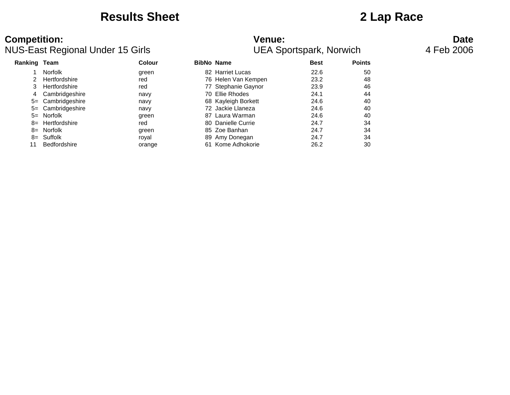## **Results Sheet 2 Lap Race**

| <b>Ranking Team</b> |                     | Colour | <b>BibNo Name</b> |                     | <b>Best</b> | <b>Points</b> |
|---------------------|---------------------|--------|-------------------|---------------------|-------------|---------------|
|                     | <b>Norfolk</b>      | green  |                   | 82 Harriet Lucas    | 22.6        | 50            |
|                     | Hertfordshire       | red    |                   | 76 Helen Van Kempen | 23.2        | 48            |
| 3                   | Hertfordshire       | red    |                   | 77 Stephanie Gaynor | 23.9        | 46            |
| 4                   | Cambridgeshire      | navy   |                   | 70 Ellie Rhodes     | 24.1        | 44            |
|                     | 5= Cambridgeshire   | navy   |                   | 68 Kayleigh Borkett | 24.6        | 40            |
|                     | 5= Cambridgeshire   | navy   |                   | 72 Jackie Llaneza   | 24.6        | 40            |
|                     | 5= Norfolk          | green  |                   | 87 Laura Warman     | 24.6        | 40            |
|                     | 8= Hertfordshire    | red    |                   | 80 Danielle Currie  | 24.7        | 34            |
|                     | 8= Norfolk          | green  |                   | 85 Zoe Banhan       | 24.7        | 34            |
|                     | 8= Suffolk          | roval  |                   | 89 Amy Donegan      | 24.7        | 34            |
|                     | <b>Bedfordshire</b> | orange |                   | 61 Kome Adhokorie   | 26.2        | 30            |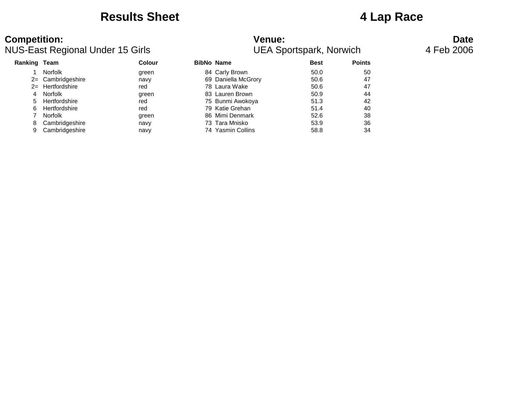## **Results Sheet 4 Lap Race**

| <b>Ranking Team</b> |                   | <b>Colour</b> | <b>BibNo Name</b>   | <b>Best</b> | <b>Points</b> |
|---------------------|-------------------|---------------|---------------------|-------------|---------------|
|                     | <b>Norfolk</b>    | green         | 84 Carly Brown      | 50.0        | 50            |
|                     | 2= Cambridgeshire | navy          | 69 Daniella McGrory | 50.6        | 47            |
|                     | 2= Hertfordshire  | red           | 78 Laura Wake       | 50.6        | 47            |
| 4                   | Norfolk           | green         | 83 Lauren Brown     | 50.9        | 44            |
| 5.                  | Hertfordshire     | red           | 75 Bunmi Awokoya    | 51.3        | 42            |
| 6.                  | Hertfordshire     | red           | 79 Katie Grehan     | 51.4        | 40            |
|                     | <b>Norfolk</b>    | green         | 86 Mimi Denmark     | 52.6        | 38            |
| 8                   | Cambridgeshire    | navy          | 73 Tara Mnisko      | 53.9        | 36            |
|                     | Cambridgeshire    | navy          | 74 Yasmin Collins   | 58.8        | 34            |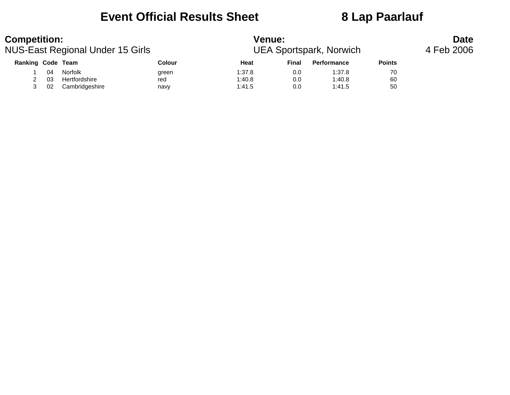## **Event Official Results Sheet 8 Lap Paarlauf**

| <b>Competition:</b>      |    | NUS-East Regional Under 15 Girls |        | <b>Venue:</b><br>UEA Sportspark, Norwich |       | <b>Date</b><br>4 Feb 2006 |               |  |
|--------------------------|----|----------------------------------|--------|------------------------------------------|-------|---------------------------|---------------|--|
| <b>Ranking Code Team</b> |    |                                  | Colour | Heat                                     | Final | <b>Performance</b>        | <b>Points</b> |  |
|                          | 04 | Norfolk                          | green  | 1:37.8                                   | 0.0   | 1:37.8                    | 70            |  |
|                          | 03 | Hertfordshire                    | red    | 1:40.8                                   | 0.0   | 1:40.8                    | 60            |  |
|                          | 02 | Cambridgeshire                   | navy   | 1:41.5                                   | 0.0   | 1:41.5                    | 50            |  |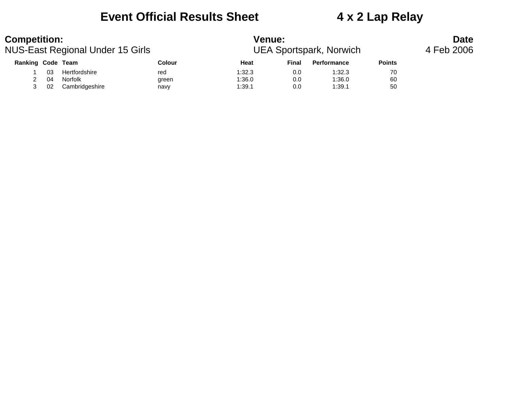## **Event Official Results Sheet 4 x 2 Lap Relay**

| <b>Competition:</b> |    | NUS-East Regional Under 15 Girls |        | <b>Venue:</b> |       | UEA Sportspark, Norwich |               | <b>Date</b><br>4 Feb 2006 |
|---------------------|----|----------------------------------|--------|---------------|-------|-------------------------|---------------|---------------------------|
| Ranking Code Team   |    |                                  | Colour | Heat          | Final | <b>Performance</b>      | <b>Points</b> |                           |
|                     | 03 | Hertfordshire                    | red    | 1:32.3        | 0.0   | 1:32.3                  | 70            |                           |
|                     | 04 | Norfolk                          | green  | 1:36.0        | 0.0   | 1:36.0                  | 60            |                           |
|                     | 02 | Cambridgeshire                   | navy   | 1:39.1        | 0.0   | 1:39.1                  | 50            |                           |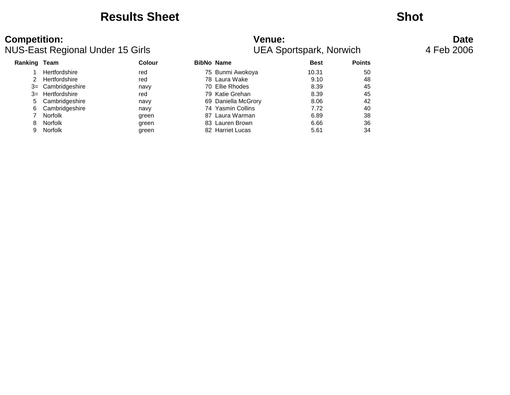## **Results Sheet Shot**

| Ranking | Team              | Colour | <b>BibNo Name</b>   | <b>Best</b> | <b>Points</b> |
|---------|-------------------|--------|---------------------|-------------|---------------|
|         | Hertfordshire     | red    | 75 Bunmi Awokoya    | 10.31       | 50            |
|         | Hertfordshire     | red    | 78 Laura Wake       | 9.10        | 48            |
|         | 3= Cambridgeshire | navy   | 70 Ellie Rhodes     | 8.39        | 45            |
|         | 3= Hertfordshire  | red    | 79 Katie Grehan     | 8.39        | 45            |
|         | 5 Cambridgeshire  | navy   | 69 Daniella McGrory | 8.06        | 42            |
| 6.      | Cambridgeshire    | navy   | 74 Yasmin Collins   | 7.72        | 40            |
|         | Norfolk           | green  | 87 Laura Warman     | 6.89        | 38            |
| 8       | Norfolk           | green  | 83 Lauren Brown     | 6.66        | 36            |
|         | <b>Norfolk</b>    | green  | 82 Harriet Lucas    | 5.61        | 34            |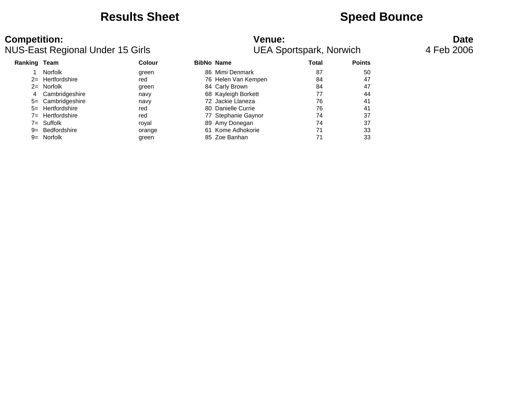## **Results Sheet <b>Speed Bounce Speed Bounce**

# **Competition:** Date

### NUS-East Regional Under 15 Girls **NUS-East Regional Under 15 Girls Number 15 Girls** 2006 **Ranking Team Colour BibNo Name Total Points** 1 Norfolk 67 September 1986 Mimi Denmark 1 Norfolk 87 So 2 Hertfordshire **120 Fertfordshire** red 76 Helen Van Kempen 84 **84** 47 2= Norfolk green 84 Carly Brown 84 47 4 Cambridgeshire navy 68 Kayleigh Borkett 77 44

5= Cambridgeshire navy 72 Jackie Llaneza 76 41 5= Hertfordshire red 80 Danielle Currie 76 41 7= Hertfordshire red 77 Stephanie Gaynor 74 37 7= Suffolk 7 and 137 and 137 and 137 and 137 and 137 and 137 and 137 and 137 and 137 and 137 and 137 9= Bedfordshire orange 61 Kome Adhokorie 71 33 9 = Norfolk 633 are en contracted by the green contracted by the SO Zoe Banhan 634 and 71 and 33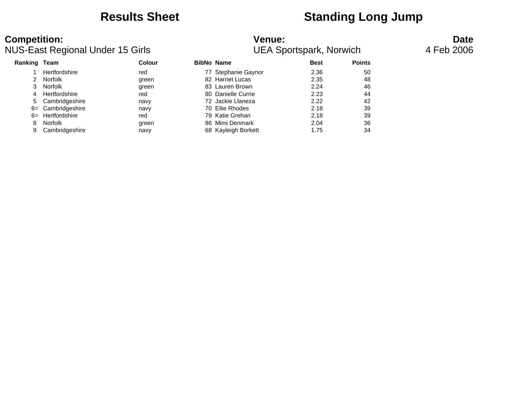## **Results Sheet Standing Long Jump**

### **Competition: Date**<br> **NUS-East Regional Under 15 Girls Date**<br> **Date** UEA Sportspark, Norwich 4 Feb 2006 NUS-East Regional Under 15 Girls

| Ranking Team |                   | Colour | <b>BibNo Name</b> |                     | <b>Best</b> | <b>Points</b> |
|--------------|-------------------|--------|-------------------|---------------------|-------------|---------------|
|              | Hertfordshire     | red    |                   | 77 Stephanie Gaynor | 2.36        | 50            |
|              | Norfolk           | green  |                   | 82 Harriet Lucas    | 2.35        | 48            |
| 3            | Norfolk           | green  |                   | 83 Lauren Brown     | 2.24        | 46            |
| 4            | Hertfordshire     | red    |                   | 80 Danielle Currie  | 2.23        | 44            |
|              | 5 Cambridgeshire  | navy   |                   | 72 Jackie Llaneza   | 2.22        | 42            |
|              | 6= Cambridgeshire | navy   |                   | 70 Ellie Rhodes     | 2.18        | 39            |
|              | 6= Hertfordshire  | red    |                   | 79 Katie Grehan     | 2.18        | 39            |
| 8            | Norfolk           | green  |                   | 86 Mimi Denmark     | 2.04        | 36            |
| 9            | Cambridgeshire    | navy   |                   | 68 Kayleigh Borkett | 1.75        | 34            |